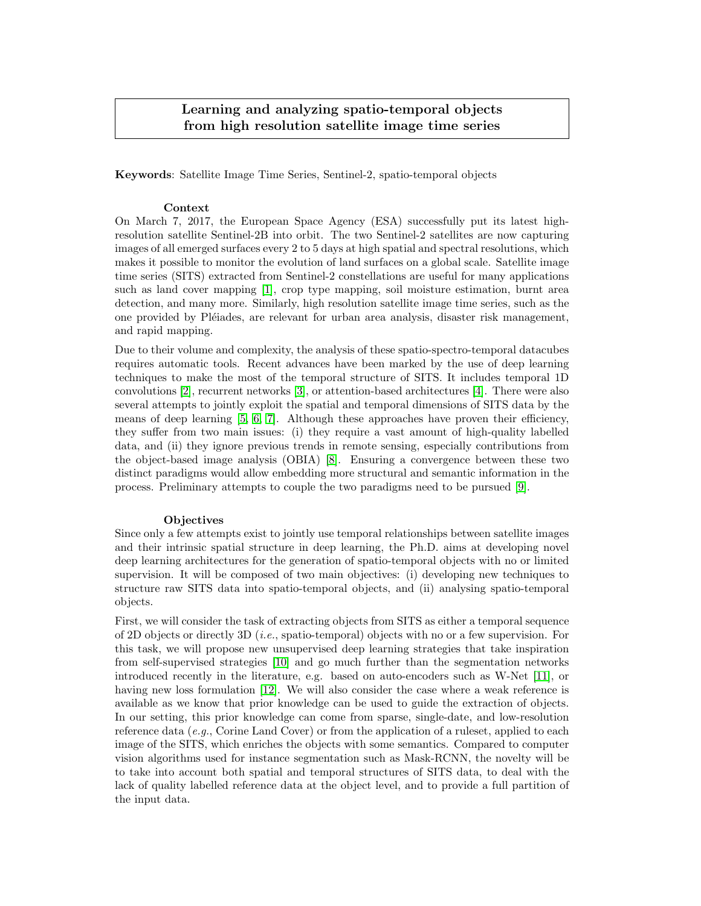## Learning and analyzing spatio-temporal objects from high resolution satellite image time series

Keywords: Satellite Image Time Series, Sentinel-2, spatio-temporal objects

## Context

On March 7, 2017, the European Space Agency (ESA) successfully put its latest highresolution satellite Sentinel-2B into orbit. The two Sentinel-2 satellites are now capturing images of all emerged surfaces every 2 to 5 days at high spatial and spectral resolutions, which makes it possible to monitor the evolution of land surfaces on a global scale. Satellite image time series (SITS) extracted from Sentinel-2 constellations are useful for many applications such as land cover mapping [\[1\]](#page-1-0), crop type mapping, soil moisture estimation, burnt area detection, and many more. Similarly, high resolution satellite image time series, such as the one provided by Pl´eiades, are relevant for urban area analysis, disaster risk management, and rapid mapping.

Due to their volume and complexity, the analysis of these spatio-spectro-temporal datacubes requires automatic tools. Recent advances have been marked by the use of deep learning techniques to make the most of the temporal structure of SITS. It includes temporal 1D convolutions [\[2\]](#page-1-1), recurrent networks [\[3\]](#page-1-2), or attention-based architectures [\[4\]](#page-1-3). There were also several attempts to jointly exploit the spatial and temporal dimensions of SITS data by the means of deep learning [\[5,](#page-1-4) [6,](#page-1-5) [7\]](#page-1-6). Although these approaches have proven their efficiency, they suffer from two main issues: (i) they require a vast amount of high-quality labelled data, and (ii) they ignore previous trends in remote sensing, especially contributions from the object-based image analysis (OBIA) [\[8\]](#page-1-7). Ensuring a convergence between these two distinct paradigms would allow embedding more structural and semantic information in the process. Preliminary attempts to couple the two paradigms need to be pursued [\[9\]](#page-2-0).

## **Objectives**

Since only a few attempts exist to jointly use temporal relationships between satellite images and their intrinsic spatial structure in deep learning, the Ph.D. aims at developing novel deep learning architectures for the generation of spatio-temporal objects with no or limited supervision. It will be composed of two main objectives: (i) developing new techniques to structure raw SITS data into spatio-temporal objects, and (ii) analysing spatio-temporal objects.

First, we will consider the task of extracting objects from SITS as either a temporal sequence of 2D objects or directly 3D (*i.e.*, spatio-temporal) objects with no or a few supervision. For this task, we will propose new unsupervised deep learning strategies that take inspiration from self-supervised strategies [\[10\]](#page-2-1) and go much further than the segmentation networks introduced recently in the literature, e.g. based on auto-encoders such as W-Net [\[11\]](#page-2-2), or having new loss formulation [\[12\]](#page-2-3). We will also consider the case where a weak reference is available as we know that prior knowledge can be used to guide the extraction of objects. In our setting, this prior knowledge can come from sparse, single-date, and low-resolution reference data  $(e.g., \text{Corine Land Cover})$  or from the application of a ruleset, applied to each image of the SITS, which enriches the objects with some semantics. Compared to computer vision algorithms used for instance segmentation such as Mask-RCNN, the novelty will be to take into account both spatial and temporal structures of SITS data, to deal with the lack of quality labelled reference data at the object level, and to provide a full partition of the input data.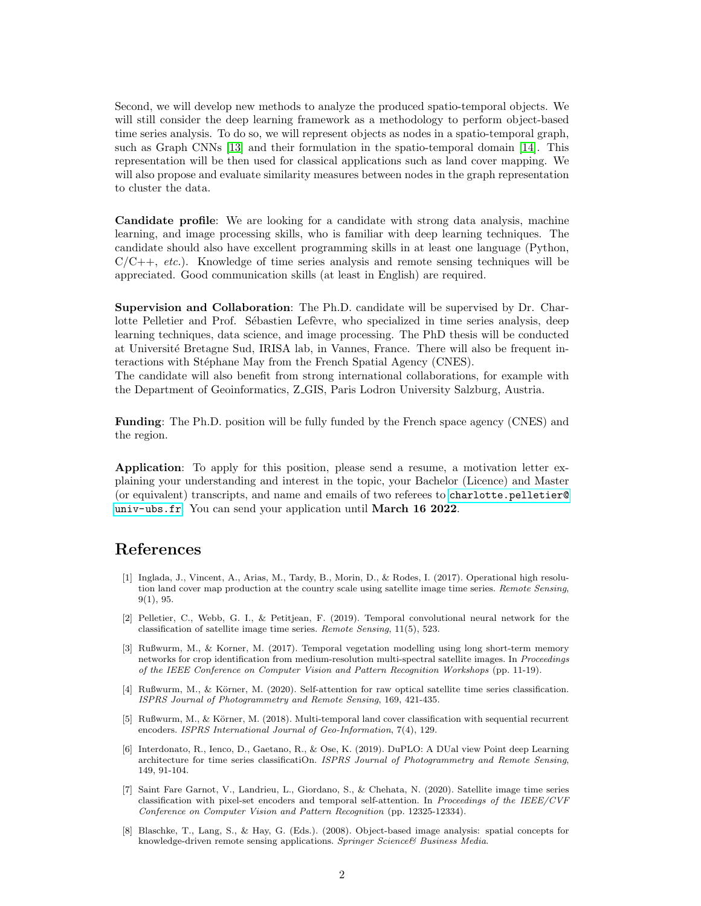Second, we will develop new methods to analyze the produced spatio-temporal objects. We will still consider the deep learning framework as a methodology to perform object-based time series analysis. To do so, we will represent objects as nodes in a spatio-temporal graph, such as Graph CNNs [\[13\]](#page-2-4) and their formulation in the spatio-temporal domain [\[14\]](#page-2-5). This representation will be then used for classical applications such as land cover mapping. We will also propose and evaluate similarity measures between nodes in the graph representation to cluster the data.

Candidate profile: We are looking for a candidate with strong data analysis, machine learning, and image processing skills, who is familiar with deep learning techniques. The candidate should also have excellent programming skills in at least one language (Python,  $C/C++$ , *etc.*). Knowledge of time series analysis and remote sensing techniques will be appreciated. Good communication skills (at least in English) are required.

Supervision and Collaboration: The Ph.D. candidate will be supervised by Dr. Charlotte Pelletier and Prof. Sébastien Lefèvre, who specialized in time series analysis, deep learning techniques, data science, and image processing. The PhD thesis will be conducted at Université Bretagne Sud, IRISA lab, in Vannes, France. There will also be frequent interactions with Stéphane May from the French Spatial Agency (CNES). The candidate will also benefit from strong international collaborations, for example with

the Department of Geoinformatics, Z GIS, Paris Lodron University Salzburg, Austria.

Funding: The Ph.D. position will be fully funded by the French space agency (CNES) and the region.

Application: To apply for this position, please send a resume, a motivation letter explaining your understanding and interest in the topic, your Bachelor (Licence) and Master (or equivalent) transcripts, and name and emails of two referees to [charlotte.pelletier@](charlotte.pelletier@univ-ubs.fr) [univ-ubs.fr](charlotte.pelletier@univ-ubs.fr). You can send your application until March 16 2022.

## References

- <span id="page-1-0"></span>[1] Inglada, J., Vincent, A., Arias, M., Tardy, B., Morin, D., & Rodes, I. (2017). Operational high resolution land cover map production at the country scale using satellite image time series. Remote Sensing, 9(1), 95.
- <span id="page-1-1"></span>[2] Pelletier, C., Webb, G. I., & Petitjean, F. (2019). Temporal convolutional neural network for the classification of satellite image time series. Remote Sensing, 11(5), 523.
- <span id="page-1-2"></span>[3] Rußwurm, M., & Korner, M. (2017). Temporal vegetation modelling using long short-term memory networks for crop identification from medium-resolution multi-spectral satellite images. In Proceedings of the IEEE Conference on Computer Vision and Pattern Recognition Workshops (pp. 11-19).
- <span id="page-1-3"></span>[4] Rußwurm, M., & Körner, M. (2020). Self-attention for raw optical satellite time series classification. ISPRS Journal of Photogrammetry and Remote Sensing, 169, 421-435.
- <span id="page-1-4"></span>[5] Rußwurm, M., & K¨orner, M. (2018). Multi-temporal land cover classification with sequential recurrent encoders. ISPRS International Journal of Geo-Information, 7(4), 129.
- <span id="page-1-5"></span>[6] Interdonato, R., Ienco, D., Gaetano, R., & Ose, K. (2019). DuPLO: A DUal view Point deep Learning architecture for time series classificatiOn. ISPRS Journal of Photogrammetry and Remote Sensing, 149, 91-104.
- <span id="page-1-6"></span>[7] Saint Fare Garnot, V., Landrieu, L., Giordano, S., & Chehata, N. (2020). Satellite image time series classification with pixel-set encoders and temporal self-attention. In Proceedings of the IEEE/CVF Conference on Computer Vision and Pattern Recognition (pp. 12325-12334).
- <span id="page-1-7"></span>[8] Blaschke, T., Lang, S., & Hay, G. (Eds.). (2008). Object-based image analysis: spatial concepts for knowledge-driven remote sensing applications. Springer Science& Business Media.